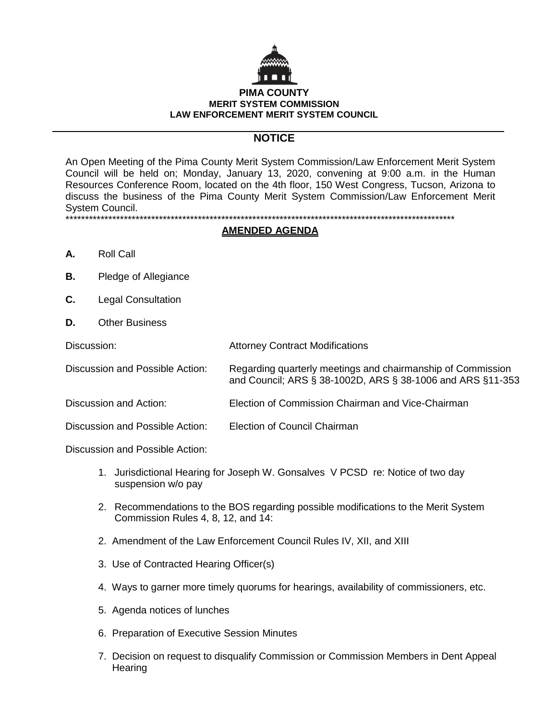

# **NOTICE**

An Open Meeting of the Pima County Merit System Commission/Law Enforcement Merit System Council will be held on; Monday, January 13, 2020, convening at 9:00 a.m. in the Human Resources Conference Room, located on the 4th floor, 150 West Congress, Tucson, Arizona to discuss the business of the Pima County Merit System Commission/Law Enforcement Merit System Council. \*\*\*\*\*\*\*\*\*\*\*\*\*\*\*\*\*\*\*\*\*\*\*\*\*\*\*\*\*\*\*\*\*\*\*\*\*\*\*\*\*\*\*\*\*\*\*\*\*\*\*\*\*\*\*\*\*\*\*\*\*\*\*\*\*\*\*\*\*\*\*\*\*\*\*\*\*\*\*\*\*\*\*\*\*\*\*\*\*\*\*\*\*\*\*\*\*\*\*\*

#### **AMENDED AGENDA**

- **A.** Roll Call
- **B.** Pledge of Allegiance
- **C.** Legal Consultation
- **D.** Other Business

| Discussion: | <b>Attorney Contract Modifications</b> |
|-------------|----------------------------------------|
|-------------|----------------------------------------|

- Discussion and Possible Action: Regarding quarterly meetings and chairmanship of Commission and Council; ARS § 38-1002D, ARS § 38-1006 and ARS §11-353
- Discussion and Action: Election of Commission Chairman and Vice-Chairman

Discussion and Possible Action: Election of Council Chairman

Discussion and Possible Action:

- 1. Jurisdictional Hearing for Joseph W. Gonsalves V PCSD re: Notice of two day suspension w/o pay
- 2. Recommendations to the BOS regarding possible modifications to the Merit System Commission Rules 4, 8, 12, and 14:
- 2. Amendment of the Law Enforcement Council Rules IV, XII, and XIII
- 3. Use of Contracted Hearing Officer(s)
- 4. Ways to garner more timely quorums for hearings, availability of commissioners, etc.
- 5. Agenda notices of lunches
- 6. Preparation of Executive Session Minutes
- 7. Decision on request to disqualify Commission or Commission Members in Dent Appeal **Hearing**